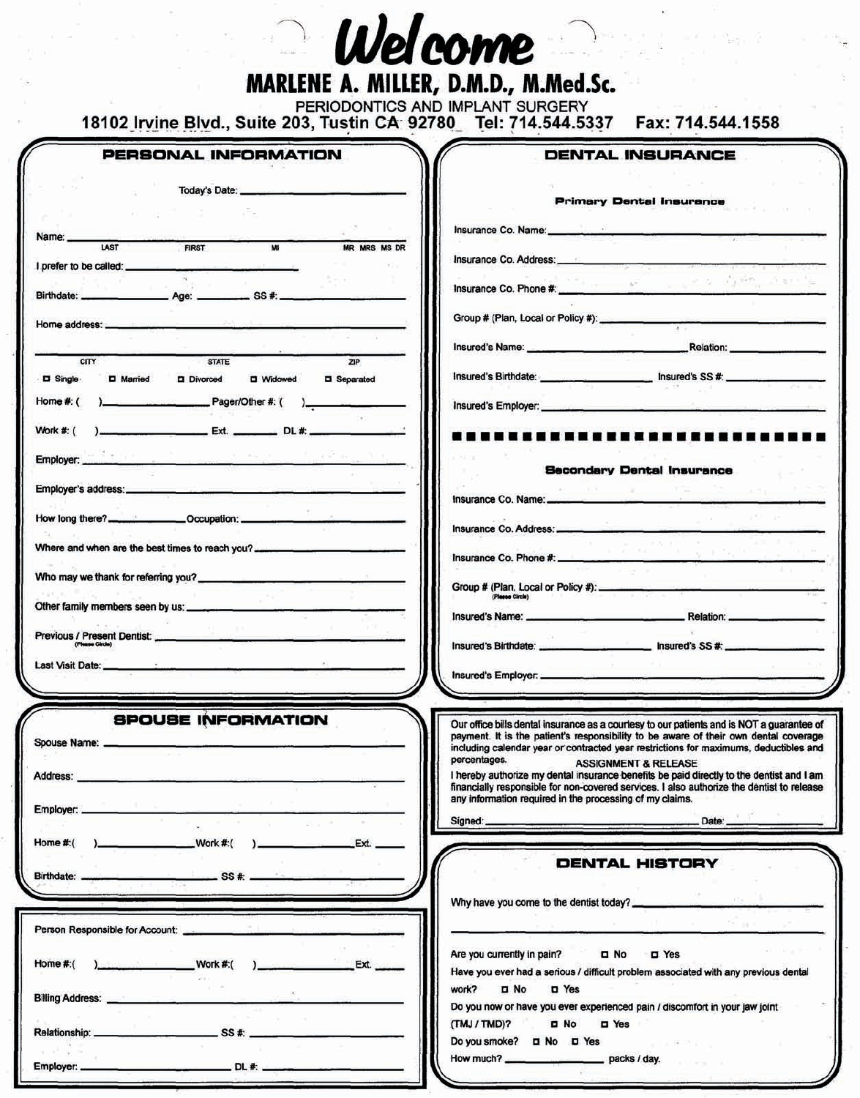| MARLENE A. MILLER, D.M.D., M.Med.Sc.<br>PERIODONTICS AND IMPLANT SURGERY<br>18102 Irvine Blvd., Suite 203, Tustin CA 92780 Tel: 714.544.5337 Fax: 714.544.1558<br>PERSONAL INFORMATION<br><b>DENTAL INSURANCE</b>                                                                                                                                                                                                                                                     |
|-----------------------------------------------------------------------------------------------------------------------------------------------------------------------------------------------------------------------------------------------------------------------------------------------------------------------------------------------------------------------------------------------------------------------------------------------------------------------|
|                                                                                                                                                                                                                                                                                                                                                                                                                                                                       |
|                                                                                                                                                                                                                                                                                                                                                                                                                                                                       |
| Today's Date: <b>With the State of Today's Date:</b><br><b>Primary Dental Insurance</b>                                                                                                                                                                                                                                                                                                                                                                               |
| Insurance Co. Name: etc. and the contract of the contract of the contract of the contract of the contract of the contract of the contract of the contract of the contract of the contract of the contract of the contract of t<br>Name:                                                                                                                                                                                                                               |
| LAST<br>FIRST<br>M<br>MR MRS MS DR<br>Insurance Co. Address: <u>Alexander Co. Address:</u> Alexander Co. 2014<br>I prefer to be called:                                                                                                                                                                                                                                                                                                                               |
| <b>Insurance Co. Phone #:</b> A the second with the second property of the second property of the second property of the second property of the second property of the second property of the second property of the second propert                                                                                                                                                                                                                                   |
| Group # (Plan, Local or Policy #): Crown Management Crown Management Crown Management Crown Management Crown Management Crown Management Crown Management Crown Management Crown Management Crown Management Crown Management<br>Home address: <b>Executive Contract Contract Contract Contract Contract Contract Contract Contract Contract Contract Contract Contract Contract Contract Contract Contract Contract Contract Contract Contract Contract Contract</b> |
|                                                                                                                                                                                                                                                                                                                                                                                                                                                                       |
| <b>CITY</b><br><b>STATE</b><br><b>ZIP</b><br>Insured's Birthdate: Insured's SS #:<br>D Married<br><b>D</b> Single<br><b>D</b> Widowed<br><b>Divorced</b><br>D Separated                                                                                                                                                                                                                                                                                               |
| Pager/Other #: (<br>Home #: (<br><b>Insured's Employer:</b> experience and the contract of the contract of the contract of the contract of the contract of the contract of the contract of the contract of the contract of the contract of the contract of the contr                                                                                                                                                                                                  |
| Work #: (                                                                                                                                                                                                                                                                                                                                                                                                                                                             |
| and the same of the second from the<br>Employer:<br><b>Secondary Dental Insurance</b>                                                                                                                                                                                                                                                                                                                                                                                 |
| $\frac{2}{\sqrt{2}}$<br>Insurance Co. Name:                                                                                                                                                                                                                                                                                                                                                                                                                           |
|                                                                                                                                                                                                                                                                                                                                                                                                                                                                       |
| Where and when are the best times to reach you?                                                                                                                                                                                                                                                                                                                                                                                                                       |
| Who may we thank for referring you?                                                                                                                                                                                                                                                                                                                                                                                                                                   |
| (Please Circle)<br>Other family members seen by us:                                                                                                                                                                                                                                                                                                                                                                                                                   |
| Previous / Present Dentist                                                                                                                                                                                                                                                                                                                                                                                                                                            |
| Insured's Birthdate: <b>https://www.fileson.com/insured's SS#:</b> ________<br>(Please Circle)<br>Last Visit Date:                                                                                                                                                                                                                                                                                                                                                    |
|                                                                                                                                                                                                                                                                                                                                                                                                                                                                       |
| <b>SPOUSE INFORMATION</b><br>Our office bills dental insurance as a courtesy to our patients and is NOT a guarantee of                                                                                                                                                                                                                                                                                                                                                |
| payment. It is the patient's responsibility to be aware of their own dental coverage<br>including calendar year or contracted year restrictions for maximums, deductibles and                                                                                                                                                                                                                                                                                         |
| percentages.<br><b>ASSIGNMENT &amp; RELEASE</b><br>I hereby authorize my dental insurance benefits be paid directly to the dentist and I am<br>Address:<br>The company of the company of the company of the company of the company of the company of the company of the company of the company of the company of the company of the company of the company of the company of the company                                                                              |
| financially responsible for non-covered services. I also authorize the dentist to release<br>any information required in the processing of my claims.<br>Employer: __                                                                                                                                                                                                                                                                                                 |
| Signed:<br>Date:<br>Ext.                                                                                                                                                                                                                                                                                                                                                                                                                                              |
| <b>DENTAL HISTORY</b>                                                                                                                                                                                                                                                                                                                                                                                                                                                 |
| SS#<br>Birthdate:                                                                                                                                                                                                                                                                                                                                                                                                                                                     |
| Why have you come to the dentist today?                                                                                                                                                                                                                                                                                                                                                                                                                               |
| Person Responsible for Account: <b>Community</b> Person Responsible for Account:<br>Are you currently in pain?<br>$D$ No<br>$\square$ Yes                                                                                                                                                                                                                                                                                                                             |
| Ext<br>Work #: (<br>Home #:(<br>Have you ever had a serious / difficult problem associated with any previous dental                                                                                                                                                                                                                                                                                                                                                   |
| <b>D</b> Yes<br>work?<br><b>D</b> No<br>Do you now or have you ever experienced pain / discomfort in your jaw joint                                                                                                                                                                                                                                                                                                                                                   |
| $(TMJ/TMD)$ ?<br><b>D</b> No<br>$\square$ Yes<br>SS#<br>Relationship: _____                                                                                                                                                                                                                                                                                                                                                                                           |
| Do you smoke? <b>D</b> No <b>D</b> Yes<br>■ 日用限定                                                                                                                                                                                                                                                                                                                                                                                                                      |